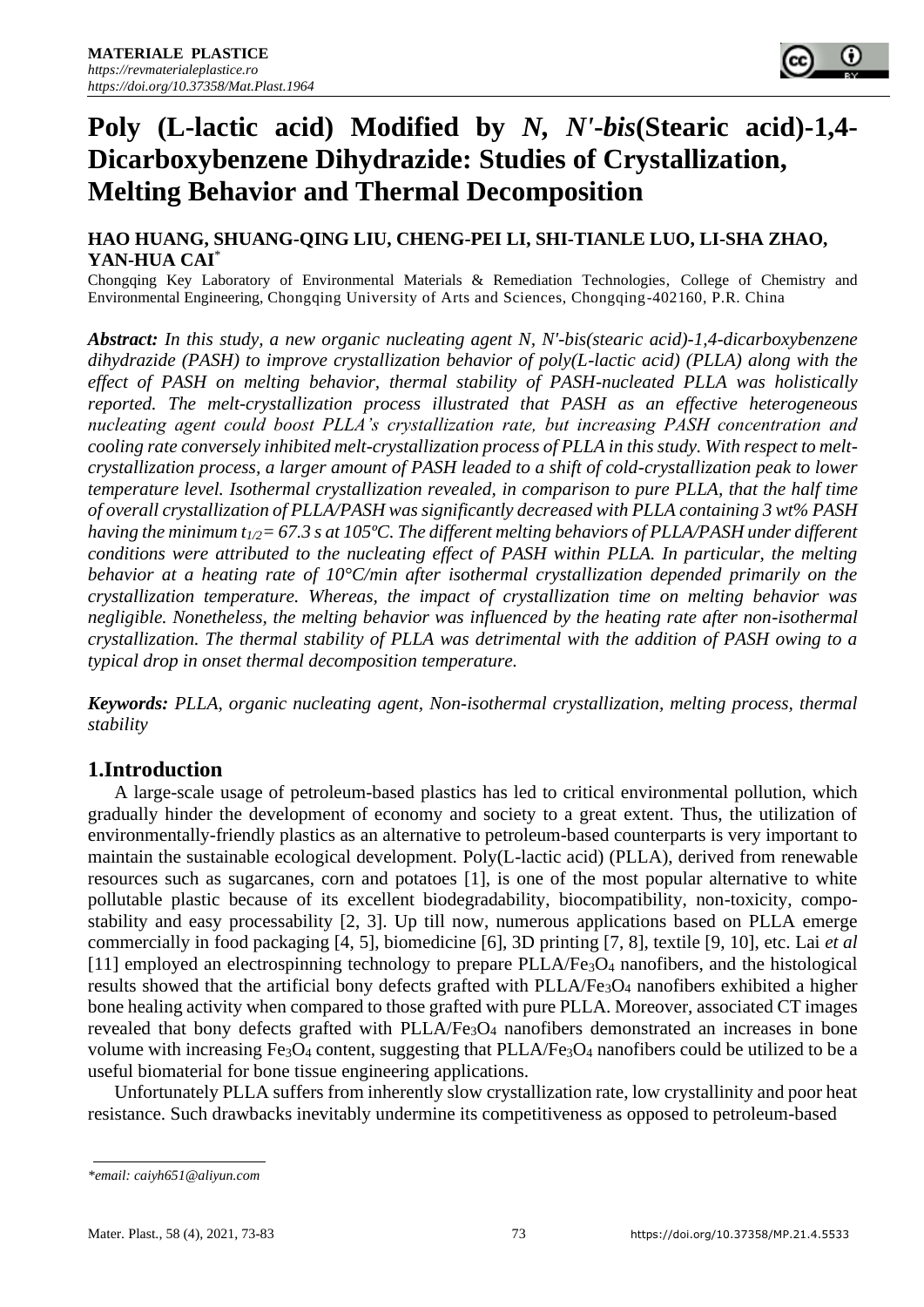# **Poly (L-lactic acid) Modified by** *N, N'***-***bis***(Stearic acid)-1,4- Dicarboxybenzene Dihydrazide: Studies of Crystallization, Melting Behavior and Thermal Decomposition**

# **HAO HUANG, SHUANG-QING LIU, CHENG-PEI LI, SHI-TIANLE LUO, LI-SHA ZHAO, YAN-HUA CAI**\*

Chongqing Key Laboratory of Environmental Materials & Remediation Technologies, College of Chemistry and Environmental Engineering, Chongqing University of Arts and Sciences, Chongqing-402160, P.R. China

*Abstract: In this study, a new organic nucleating agent N, N'-bis(stearic acid)-1,4-dicarboxybenzene dihydrazide (PASH) to improve crystallization behavior of poly(L-lactic acid) (PLLA) along with the effect of PASH on melting behavior, thermal stability of PASH-nucleated PLLA was holistically reported. The melt-crystallization process illustrated that PASH as an effective heterogeneous nucleating agent could boost PLLA's crystallization rate, but increasing PASH concentration and cooling rate conversely inhibited melt-crystallization process of PLLA in this study. With respect to meltcrystallization process, a larger amount of PASH leaded to a shift of cold-crystallization peak to lower temperature level. Isothermal crystallization revealed, in comparison to pure PLLA, that the half time of overall crystallization of PLLA/PASH was significantly decreased with PLLA containing 3 wt% PASH having the minimum t1/2= 67.3 s at 105ºC. The different melting behaviors of PLLA/PASH under different conditions were attributed to the nucleating effect of PASH within PLLA. In particular, the melting behavior at a heating rate of 10°C/min after isothermal crystallization depended primarily on the crystallization temperature. Whereas, the impact of crystallization time on melting behavior was negligible. Nonetheless, the melting behavior was influenced by the heating rate after non-isothermal crystallization. The thermal stability of PLLA was detrimental with the addition of PASH owing to a typical drop in onset thermal decomposition temperature.* 

*Keywords: PLLA, organic nucleating agent, Non-isothermal crystallization, melting process, thermal stability* 

# **1.Introduction**

A large-scale usage of petroleum-based plastics has led to critical environmental pollution, which gradually hinder the development of economy and society to a great extent. Thus, the utilization of environmentally-friendly plastics as an alternative to petroleum-based counterparts is very important to maintain the sustainable ecological development. Poly(L-lactic acid) (PLLA), derived from renewable resources such as sugarcanes, corn and potatoes [1], is one of the most popular alternative to white pollutable plastic because of its excellent biodegradability, biocompatibility, non-toxicity, compostability and easy processability [2, 3]. Up till now, numerous applications based on PLLA emerge commercially in food packaging [4, 5], biomedicine [6], 3D printing [7, 8], textile [9, 10], etc. Lai *et al*  $[11]$  employed an electrospinning technology to prepare PLLA/Fe<sub>3</sub>O<sub>4</sub> nanofibers, and the histological results showed that the artificial bony defects grafted with PLLA/Fe<sub>3</sub>O<sub>4</sub> nanofibers exhibited a higher bone healing activity when compared to those grafted with pure PLLA. Moreover, associated CT images revealed that bony defects grafted with PLLA/Fe<sub>3</sub>O<sub>4</sub> nanofibers demonstrated an increases in bone volume with increasing Fe<sub>3</sub>O<sub>4</sub> content, suggesting that PLLA/Fe<sub>3</sub>O<sub>4</sub> nanofibers could be utilized to be a useful biomaterial for bone tissue engineering applications.

Unfortunately PLLA suffers from inherently slow crystallization rate, low crystallinity and poor heat resistance. Such drawbacks inevitably undermine its competitiveness as opposed to petroleum-based

*<sup>\*</sup>email[: caiyh651@aliyun.com](mailto:caiyh651@aliyun.com)*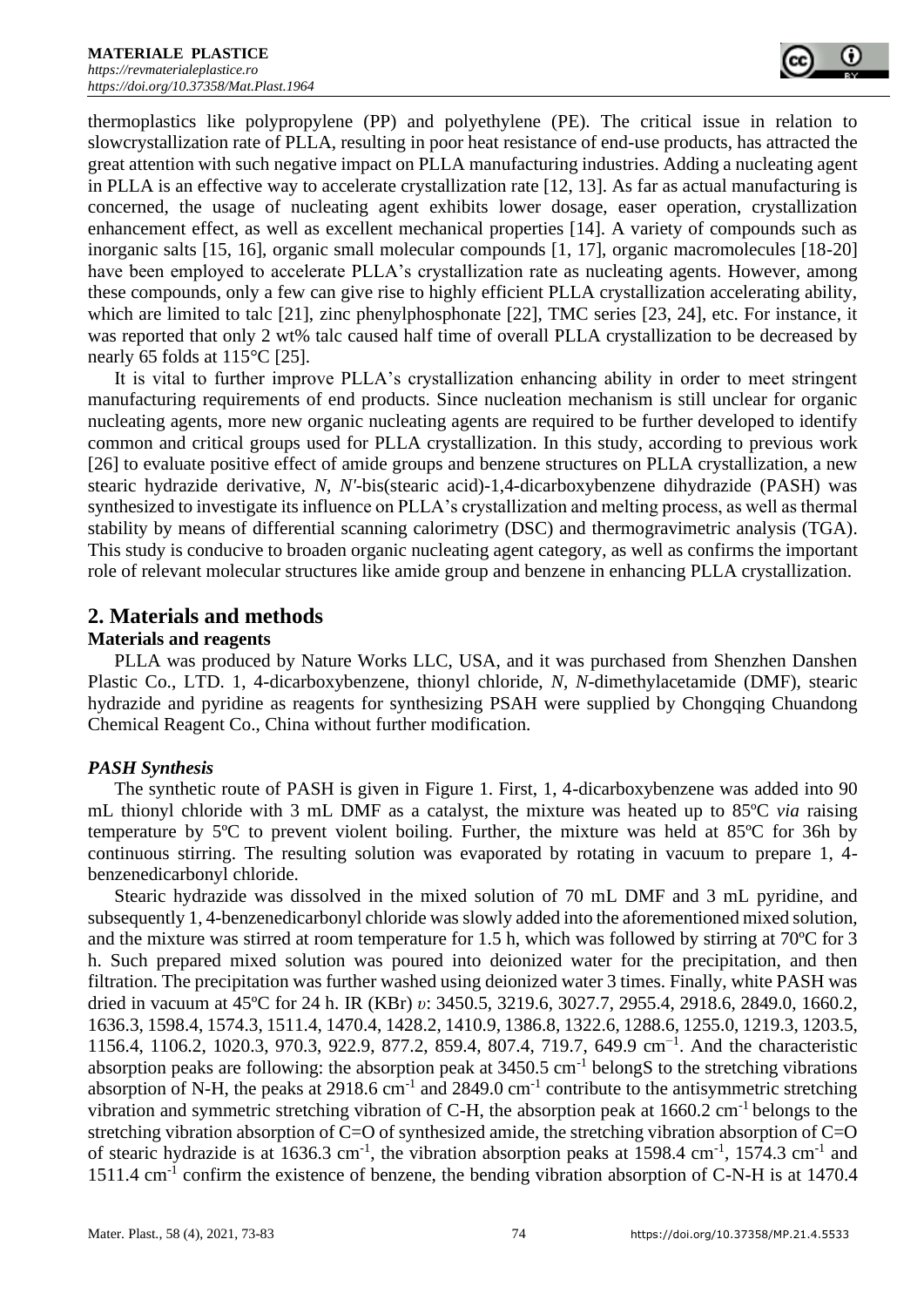thermoplastics like polypropylene (PP) and polyethylene (PE). The critical issue in relation to slowcrystallization rate of PLLA, resulting in poor heat resistance of end-use products, has attracted the great attention with such negative impact on PLLA manufacturing industries. Adding a nucleating agent in PLLA is an effective way to accelerate crystallization rate [12, 13]. As far as actual manufacturing is concerned, the usage of nucleating agent exhibits lower dosage, easer operation, crystallization enhancement effect, as well as excellent mechanical properties [14]. A variety of compounds such as inorganic salts [15, 16], organic small molecular compounds [1, 17], organic macromolecules [18-20] have been employed to accelerate PLLA's crystallization rate as nucleating agents. However, among these compounds, only a few can give rise to highly efficient PLLA crystallization accelerating ability, which are limited to talc [21], zinc phenylphosphonate [22], TMC series [23, 24], etc. For instance, it was reported that only 2 wt% talc caused half time of overall PLLA crystallization to be decreased by nearly 65 folds at 115°C [25].

It is vital to further improve PLLA's crystallization enhancing ability in order to meet stringent manufacturing requirements of end products. Since nucleation mechanism is still unclear for organic nucleating agents, more new organic nucleating agents are required to be further developed to identify common and critical groups used for PLLA crystallization. In this study, according to previous work [26] to evaluate positive effect of amide groups and benzene structures on PLLA crystallization, a new stearic hydrazide derivative, *N, N'*-bis(stearic acid)-1,4-dicarboxybenzene dihydrazide (PASH) was synthesized to investigate its influence on PLLA's crystallization and melting process, as well as thermal stability by means of differential scanning calorimetry (DSC) and thermogravimetric analysis (TGA). This study is conducive to broaden organic nucleating agent category, as well as confirms the important role of relevant molecular structures like amide group and benzene in enhancing PLLA crystallization.

# **2. Materials and methods**

## **Materials and reagents**

PLLA was produced by Nature Works LLC, USA, and it was purchased from Shenzhen Danshen Plastic Co., LTD. 1, 4-dicarboxybenzene, thionyl chloride, *N, N*-dimethylacetamide (DMF), stearic hydrazide and pyridine as reagents for synthesizing PSAH were supplied by Chongqing Chuandong Chemical Reagent Co., China without further modification.

# *PASH Synthesis*

The synthetic route of PASH is given in Figure 1. First, 1, 4-dicarboxybenzene was added into 90 mL thionyl chloride with 3 mL DMF as a catalyst, the mixture was heated up to 85ºC *via* raising temperature by 5ºC to prevent violent boiling. Further, the mixture was held at 85ºC for 36h by continuous stirring. The resulting solution was evaporated by rotating in vacuum to prepare 1, 4 benzenedicarbonyl chloride.

Stearic hydrazide was dissolved in the mixed solution of 70 mL DMF and 3 mL pyridine, and subsequently 1, 4-benzenedicarbonyl chloride was slowly added into the aforementioned mixed solution, and the mixture was stirred at room temperature for 1.5 h, which was followed by stirring at 70ºC for 3 h. Such prepared mixed solution was poured into deionized water for the precipitation, and then filtration. The precipitation was further washed using deionized water 3 times. Finally, white PASH was dried in vacuum at 45ºC for 24 h. IR (KBr) *υ*: 3450.5, 3219.6, 3027.7, 2955.4, 2918.6, 2849.0, 1660.2, 1636.3, 1598.4, 1574.3, 1511.4, 1470.4, 1428.2, 1410.9, 1386.8, 1322.6, 1288.6, 1255.0, 1219.3, 1203.5, 1156.4, 1106.2, 1020.3, 970.3, 922.9, 877.2, 859.4, 807.4, 719.7, 649.9 cm<sup>-1</sup>. And the characteristic absorption peaks are following: the absorption peak at 3450.5 cm<sup>-1</sup> belongS to the stretching vibrations absorption of N-H, the peaks at  $2918.6 \text{ cm}^{-1}$  and  $2849.0 \text{ cm}^{-1}$  contribute to the antisymmetric stretching vibration and symmetric stretching vibration of C-H, the absorption peak at  $1660.2 \text{ cm}^{-1}$  belongs to the stretching vibration absorption of C=O of synthesized amide, the stretching vibration absorption of C=O of stearic hydrazide is at 1636.3 cm<sup>-1</sup>, the vibration absorption peaks at 1598.4 cm<sup>-1</sup>, 1574.3 cm<sup>-1</sup> and 1511.4 cm<sup>-1</sup> confirm the existence of benzene, the bending vibration absorption of C-N-H is at 1470.4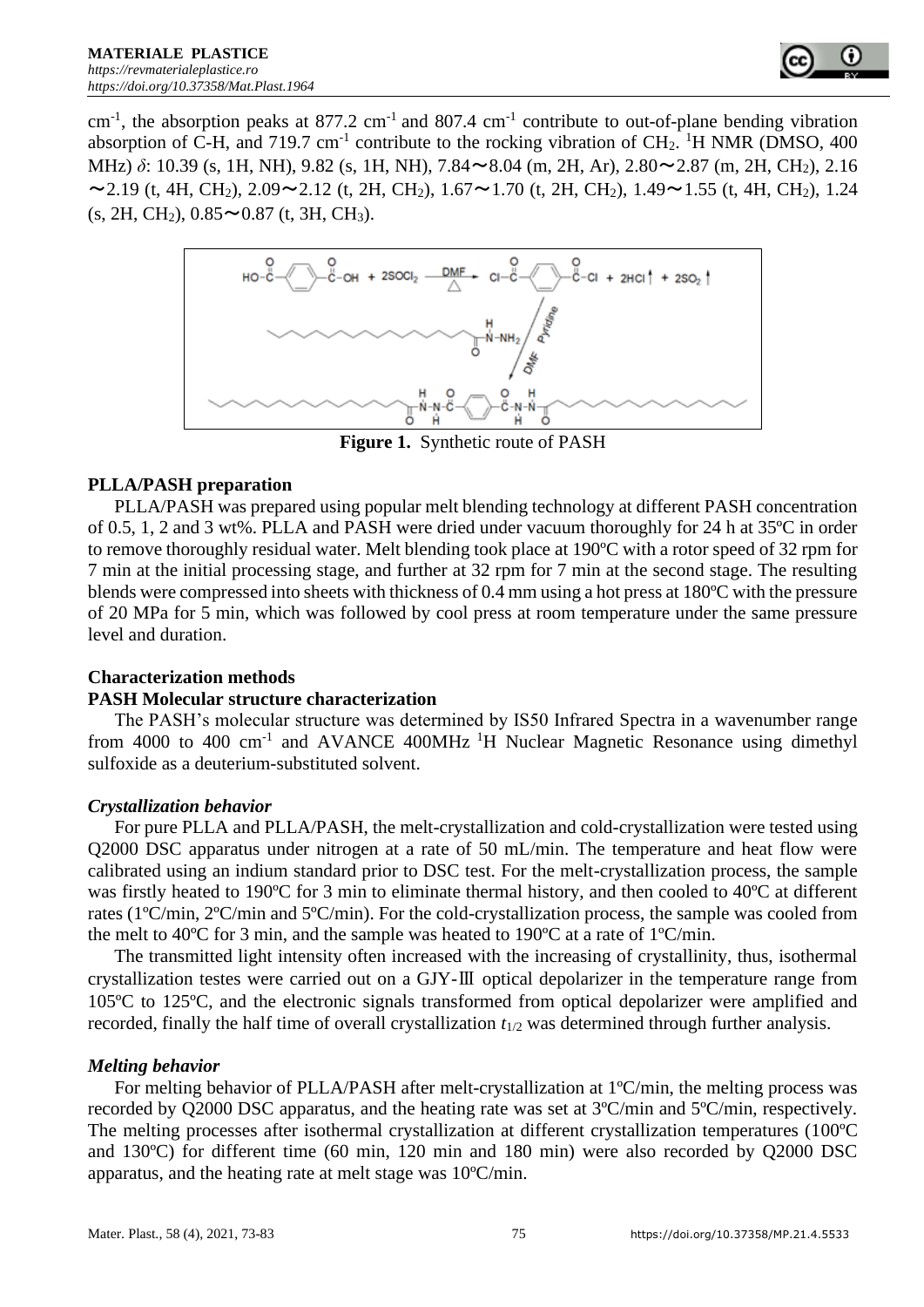

 $cm<sup>-1</sup>$ , the absorption peaks at 877.2 cm<sup>-1</sup> and 807.4 cm<sup>-1</sup> contribute to out-of-plane bending vibration absorption of C-H, and 719.7 cm<sup>-1</sup> contribute to the rocking vibration of CH<sub>2</sub>. <sup>1</sup>H NMR (DMSO, 400) MHz) *δ*: 10.39 (s, 1H, NH), 9.82 (s, 1H, NH), 7.84~8.04 (m, 2H, Ar), 2.80~2.87 (m, 2H, CH2), 2.16  $\sim$  2.19 (t, 4H, CH<sub>2</sub>), 2.09 $\sim$  2.12 (t, 2H, CH<sub>2</sub>), 1.67 $\sim$  1.70 (t, 2H, CH<sub>2</sub>), 1.49 $\sim$  1.55 (t, 4H, CH<sub>2</sub>), 1.24  $(s, 2H, CH<sub>2</sub>), 0.85 \sim 0.87$  (t, 3H, CH<sub>3</sub>).



**Figure 1.** Synthetic route of PASH

## **PLLA/PASH preparation**

PLLA/PASH was prepared using popular melt blending technology at different PASH concentration of 0.5, 1, 2 and 3 wt%. PLLA and PASH were dried under vacuum thoroughly for 24 h at 35ºC in order to remove thoroughly residual water. Melt blending took place at 190ºC with a rotor speed of 32 rpm for 7 min at the initial processing stage, and further at 32 rpm for 7 min at the second stage. The resulting blends were compressed into sheets with thickness of 0.4 mm using a hot press at 180ºC with the pressure of 20 MPa for 5 min, which was followed by cool press at room temperature under the same pressure level and duration.

## **Characterization methods**

#### **PASH Molecular structure characterization**

The PASH's molecular structure was determined by IS50 Infrared Spectra in a wavenumber range from 4000 to 400 cm<sup>-1</sup> and AVANCE 400MHz  $^1$ H Nuclear Magnetic Resonance using dimethyl sulfoxide as a deuterium-substituted solvent.

#### *Crystallization behavior*

For pure PLLA and PLLA/PASH, the melt-crystallization and cold-crystallization were tested using Q2000 DSC apparatus under nitrogen at a rate of 50 mL/min. The temperature and heat flow were calibrated using an indium standard prior to DSC test. For the melt-crystallization process, the sample was firstly heated to 190ºC for 3 min to eliminate thermal history, and then cooled to 40ºC at different rates (1ºC/min, 2ºC/min and 5ºC/min). For the cold-crystallization process, the sample was cooled from the melt to 40ºC for 3 min, and the sample was heated to 190ºC at a rate of 1ºC/min.

The transmitted light intensity often increased with the increasing of crystallinity, thus, isothermal crystallization testes were carried out on a GJY-Ⅲ optical depolarizer in the temperature range from 105ºC to 125ºC, and the electronic signals transformed from optical depolarizer were amplified and recorded, finally the half time of overall crystallization *t*1/2 was determined through further analysis.

#### *Melting behavior*

For melting behavior of PLLA/PASH after melt-crystallization at 1ºC/min, the melting process was recorded by Q2000 DSC apparatus, and the heating rate was set at 3ºC/min and 5ºC/min, respectively. The melting processes after isothermal crystallization at different crystallization temperatures (100ºC and 130ºC) for different time (60 min, 120 min and 180 min) were also recorded by Q2000 DSC apparatus, and the heating rate at melt stage was 10ºC/min.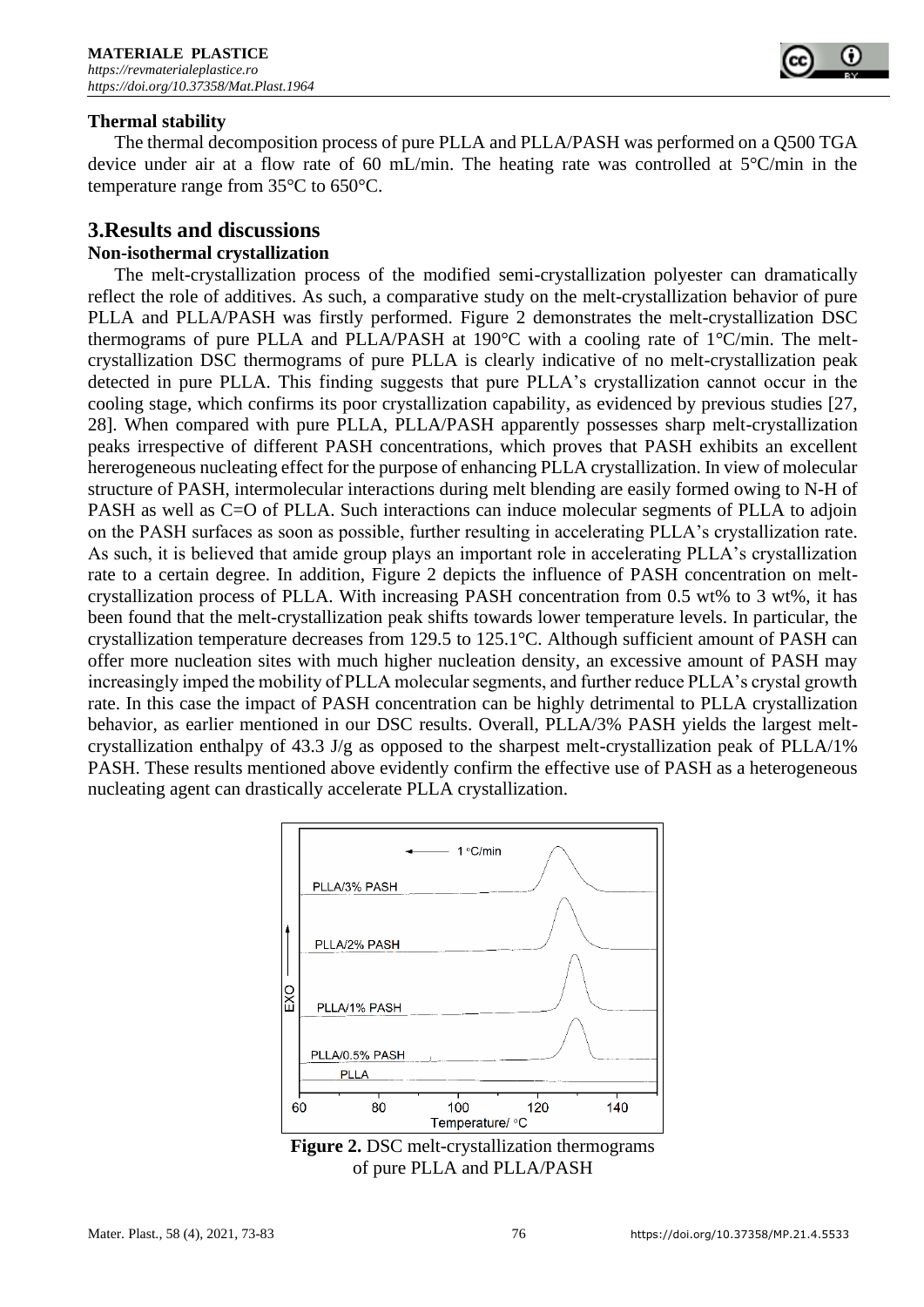

#### **Thermal stability**

The thermal decomposition process of pure PLLA and PLLA/PASH was performed on a Q500 TGA device under air at a flow rate of 60 mL/min. The heating rate was controlled at 5°C/min in the temperature range from 35°C to 650°C.

## **3.Results and discussions**

## **Non-isothermal crystallization**

The melt-crystallization process of the modified semi-crystallization polyester can dramatically reflect the role of additives. As such, a comparative study on the melt-crystallization behavior of pure PLLA and PLLA/PASH was firstly performed. Figure 2 demonstrates the melt-crystallization DSC thermograms of pure PLLA and PLLA/PASH at 190°C with a cooling rate of 1°C/min. The meltcrystallization DSC thermograms of pure PLLA is clearly indicative of no melt-crystallization peak detected in pure PLLA. This finding suggests that pure PLLA's crystallization cannot occur in the cooling stage, which confirms its poor crystallization capability, as evidenced by previous studies [27, 28]. When compared with pure PLLA, PLLA/PASH apparently possesses sharp melt-crystallization peaks irrespective of different PASH concentrations, which proves that PASH exhibits an excellent hererogeneous nucleating effect for the purpose of enhancing PLLA crystallization. In view of molecular structure of PASH, intermolecular interactions during melt blending are easily formed owing to N-H of PASH as well as C=O of PLLA. Such interactions can induce molecular segments of PLLA to adjoin on the PASH surfaces as soon as possible, further resulting in accelerating PLLA's crystallization rate. As such, it is believed that amide group plays an important role in accelerating PLLA's crystallization rate to a certain degree. In addition, Figure 2 depicts the influence of PASH concentration on meltcrystallization process of PLLA. With increasing PASH concentration from  $0.5$  wt% to 3 wt%, it has been found that the melt-crystallization peak shifts towards lower temperature levels. In particular, the crystallization temperature decreases from 129.5 to 125.1°C. Although sufficient amount of PASH can offer more nucleation sites with much higher nucleation density, an excessive amount of PASH may increasingly imped the mobility of PLLA molecular segments, and further reduce PLLA's crystal growth rate. In this case the impact of PASH concentration can be highly detrimental to PLLA crystallization behavior, as earlier mentioned in our DSC results. Overall, PLLA/3% PASH yields the largest meltcrystallization enthalpy of 43.3 J/g as opposed to the sharpest melt-crystallization peak of PLLA/1% PASH. These results mentioned above evidently confirm the effective use of PASH as a heterogeneous nucleating agent can drastically accelerate PLLA crystallization.



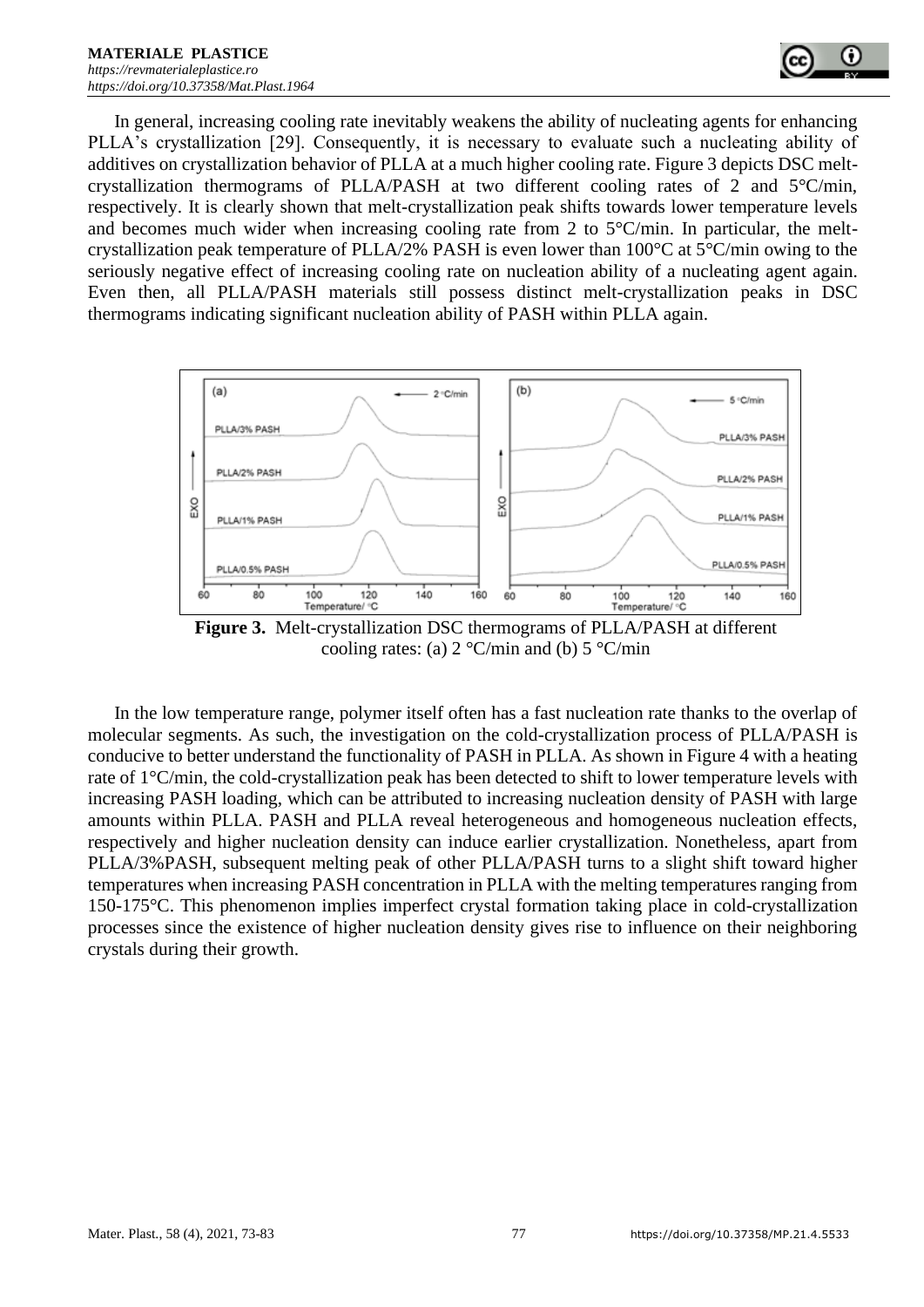In general, increasing cooling rate inevitably weakens the ability of nucleating agents for enhancing PLLA's crystallization [29]. Consequently, it is necessary to evaluate such a nucleating ability of additives on crystallization behavior of PLLA at a much higher cooling rate. Figure 3 depicts DSC meltcrystallization thermograms of PLLA/PASH at two different cooling rates of 2 and 5°C/min, respectively. It is clearly shown that melt-crystallization peak shifts towards lower temperature levels and becomes much wider when increasing cooling rate from 2 to 5°C/min. In particular, the meltcrystallization peak temperature of PLLA/2% PASH is even lower than 100°C at 5°C/min owing to the seriously negative effect of increasing cooling rate on nucleation ability of a nucleating agent again. Even then, all PLLA/PASH materials still possess distinct melt-crystallization peaks in DSC thermograms indicating significant nucleation ability of PASH within PLLA again.



**Figure 3.** Melt-crystallization DSC thermograms of PLLA/PASH at different cooling rates: (a)  $2^{\circ}$ C/min and (b)  $5^{\circ}$ C/min

In the low temperature range, polymer itself often has a fast nucleation rate thanks to the overlap of molecular segments. As such, the investigation on the cold-crystallization process of PLLA/PASH is conducive to better understand the functionality of PASH in PLLA. As shown in Figure 4 with a heating rate of 1°C/min, the cold-crystallization peak has been detected to shift to lower temperature levels with increasing PASH loading, which can be attributed to increasing nucleation density of PASH with large amounts within PLLA. PASH and PLLA reveal heterogeneous and homogeneous nucleation effects, respectively and higher nucleation density can induce earlier crystallization. Nonetheless, apart from PLLA/3%PASH, subsequent melting peak of other PLLA/PASH turns to a slight shift toward higher temperatures when increasing PASH concentration in PLLA with the melting temperatures ranging from 150-175°C. This phenomenon implies imperfect crystal formation taking place in cold-crystallization processes since the existence of higher nucleation density gives rise to influence on their neighboring crystals during their growth.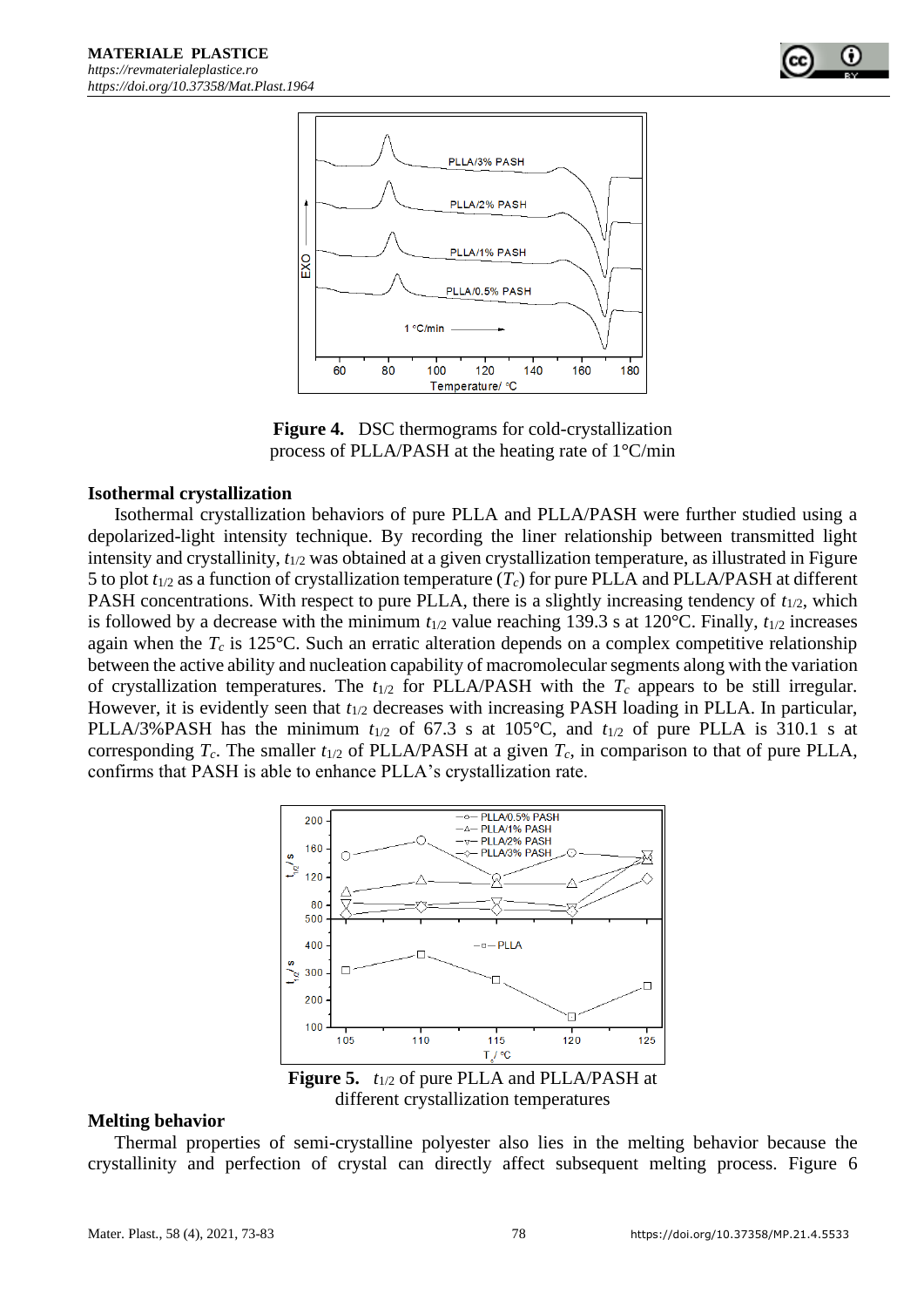

**Figure 4.** DSC thermograms for cold-crystallization process of PLLA/PASH at the heating rate of 1°C/min

#### **Isothermal crystallization**

Isothermal crystallization behaviors of pure PLLA and PLLA/PASH were further studied using a depolarized-light intensity technique. By recording the liner relationship between transmitted light intensity and crystallinity, *t*1/2 was obtained at a given crystallization temperature, as illustrated in Figure 5 to plot *t*1/2 as a function of crystallization temperature (*Tc*) for pure PLLA and PLLA/PASH at different PASH concentrations. With respect to pure PLLA, there is a slightly increasing tendency of  $t_{1/2}$ , which is followed by a decrease with the minimum  $t_{1/2}$  value reaching 139.3 s at 120°C. Finally,  $t_{1/2}$  increases again when the *T<sup>c</sup>* is 125°C. Such an erratic alteration depends on a complex competitive relationship between the active ability and nucleation capability of macromolecular segments along with the variation of crystallization temperatures. The  $t_{1/2}$  for PLLA/PASH with the  $T_c$  appears to be still irregular. However, it is evidently seen that *t*1/2 decreases with increasing PASH loading in PLLA. In particular, PLLA/3%PASH has the minimum  $t_{1/2}$  of 67.3 s at 105°C, and  $t_{1/2}$  of pure PLLA is 310.1 s at corresponding  $T_c$ . The smaller  $t_{1/2}$  of PLLA/PASH at a given  $T_c$ , in comparison to that of pure PLLA, confirms that PASH is able to enhance PLLA's crystallization rate.



**Figure 5.** *t*1/2 of pure PLLA and PLLA/PASH at different crystallization temperatures

#### **Melting behavior**

Thermal properties of semi-crystalline polyester also lies in the melting behavior because the crystallinity and perfection of crystal can directly affect subsequent melting process. Figure 6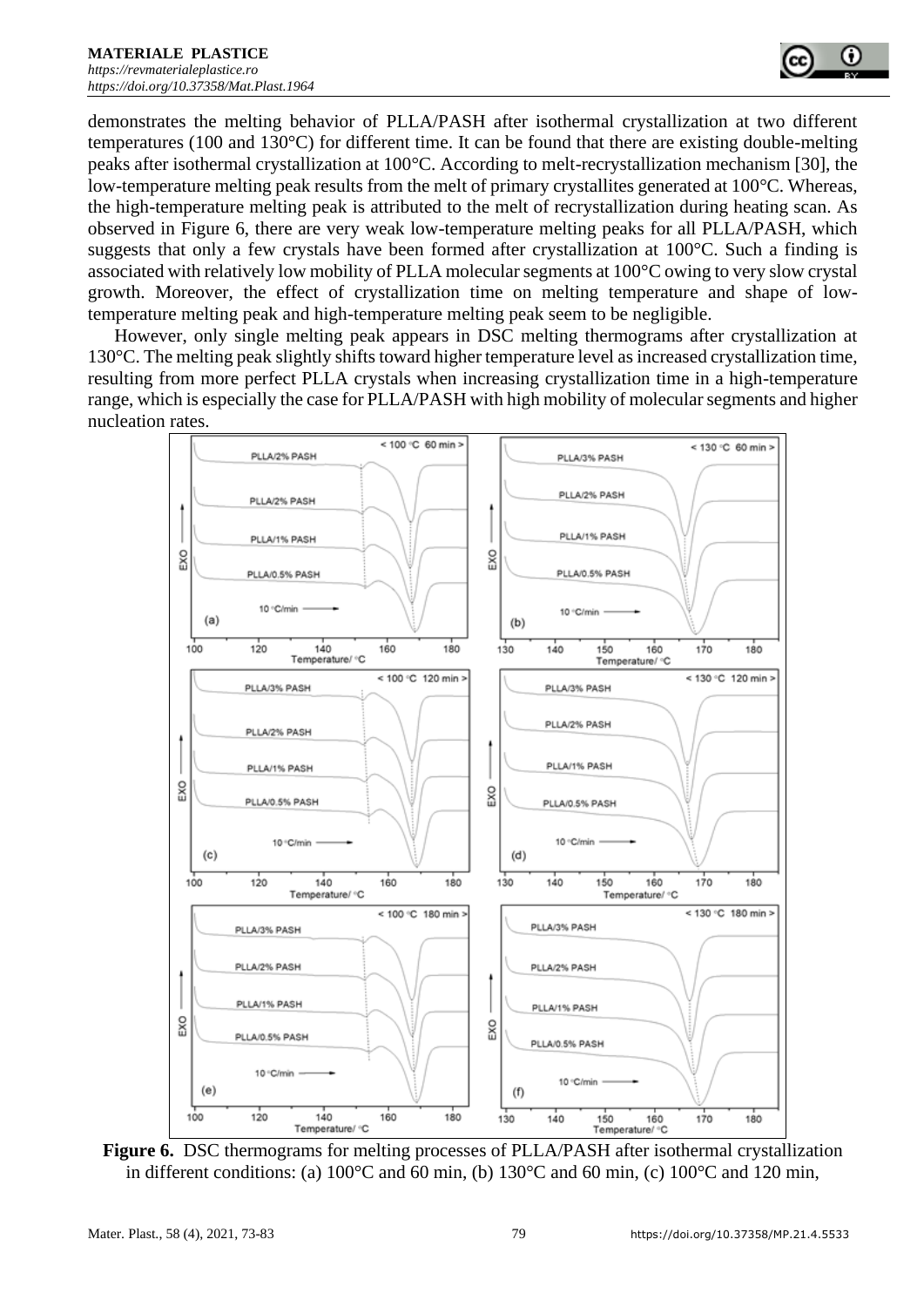demonstrates the melting behavior of PLLA/PASH after isothermal crystallization at two different temperatures (100 and 130°C) for different time. It can be found that there are existing double-melting peaks after isothermal crystallization at 100°C. According to melt-recrystallization mechanism [30], the low-temperature melting peak results from the melt of primary crystallites generated at 100°C. Whereas, the high-temperature melting peak is attributed to the melt of recrystallization during heating scan. As observed in Figure 6, there are very weak low-temperature melting peaks for all PLLA/PASH, which suggests that only a few crystals have been formed after crystallization at 100°C. Such a finding is associated with relatively low mobility of PLLA molecular segments at 100°C owing to very slow crystal growth. Moreover, the effect of crystallization time on melting temperature and shape of lowtemperature melting peak and high-temperature melting peak seem to be negligible.

However, only single melting peak appears in DSC melting thermograms after crystallization at 130°C. The melting peak slightly shifts toward higher temperature level as increased crystallization time, resulting from more perfect PLLA crystals when increasing crystallization time in a high-temperature range, which is especially the case for PLLA/PASH with high mobility of molecular segments and higher nucleation rates.



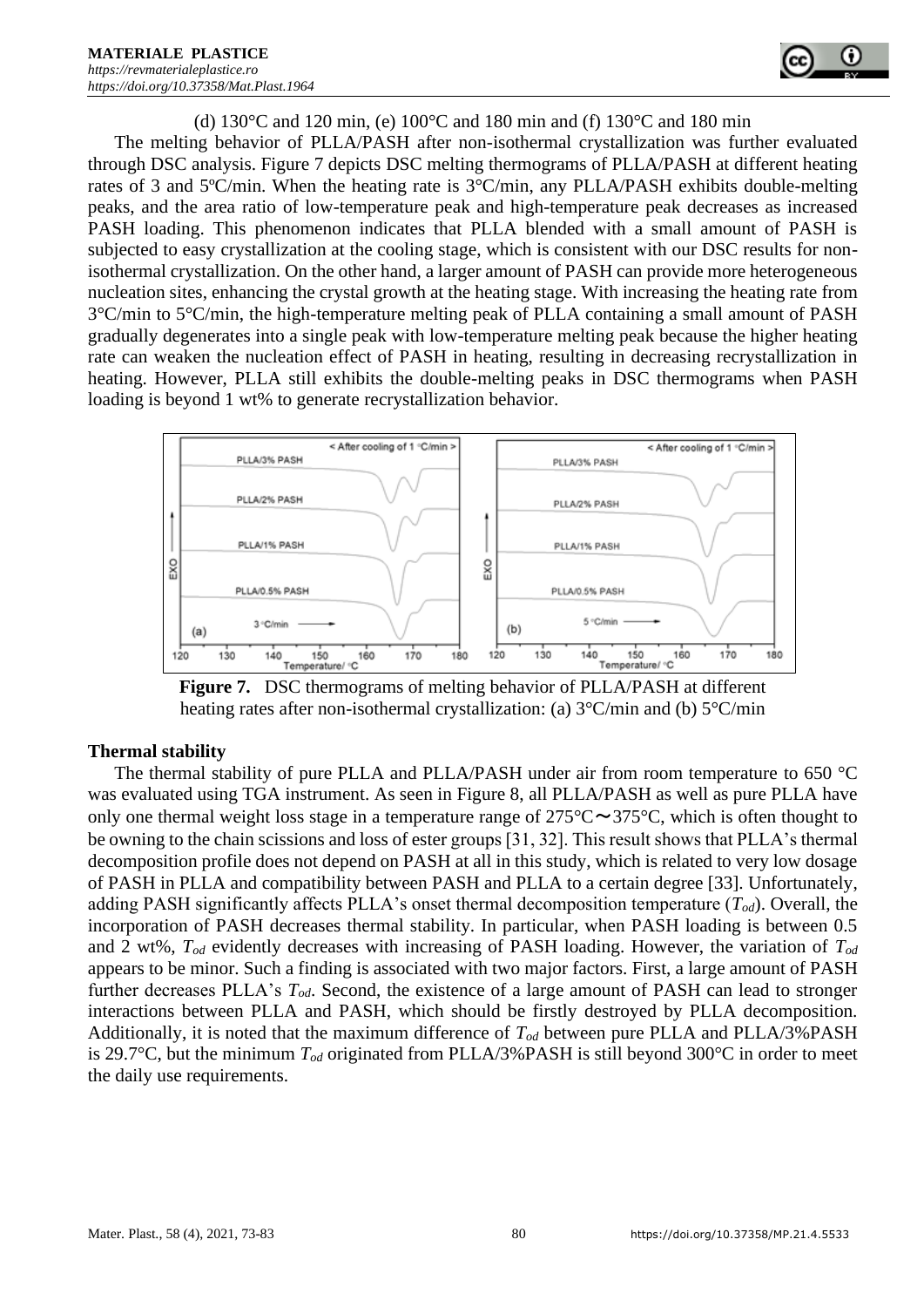

(d) 130°C and 120 min, (e) 100°C and 180 min and (f) 130°C and 180 min The melting behavior of PLLA/PASH after non-isothermal crystallization was further evaluated through DSC analysis. Figure 7 depicts DSC melting thermograms of PLLA/PASH at different heating rates of 3 and 5ºC/min. When the heating rate is 3°C/min, any PLLA/PASH exhibits double-melting peaks, and the area ratio of low-temperature peak and high-temperature peak decreases as increased PASH loading. This phenomenon indicates that PLLA blended with a small amount of PASH is subjected to easy crystallization at the cooling stage, which is consistent with our DSC results for nonisothermal crystallization. On the other hand, a larger amount of PASH can provide more heterogeneous nucleation sites, enhancing the crystal growth at the heating stage. With increasing the heating rate from 3°C/min to 5°C/min, the high-temperature melting peak of PLLA containing a small amount of PASH gradually degenerates into a single peak with low-temperature melting peak because the higher heating rate can weaken the nucleation effect of PASH in heating, resulting in decreasing recrystallization in heating. However, PLLA still exhibits the double-melting peaks in DSC thermograms when PASH loading is beyond 1 wt% to generate recrystallization behavior.



heating rates after non-isothermal crystallization: (a) 3°C/min and (b) 5°C/min

## **Thermal stability**

The thermal stability of pure PLLA and PLLA/PASH under air from room temperature to 650 °C was evaluated using TGA instrument. As seen in Figure 8, all PLLA/PASH as well as pure PLLA have only one thermal weight loss stage in a temperature range of  $275^{\circ}$ C $\sim$  $375^{\circ}$ C, which is often thought to be owning to the chain scissions and loss of ester groups [31, 32]. This result shows that PLLA's thermal decomposition profile does not depend on PASH at all in this study, which is related to very low dosage of PASH in PLLA and compatibility between PASH and PLLA to a certain degree [33]. Unfortunately, adding PASH significantly affects PLLA's onset thermal decomposition temperature (*Tod*). Overall, the incorporation of PASH decreases thermal stability. In particular, when PASH loading is between 0.5 and 2 wt%, *Tod* evidently decreases with increasing of PASH loading. However, the variation of *Tod* appears to be minor. Such a finding is associated with two major factors. First, a large amount of PASH further decreases PLLA's *Tod*. Second, the existence of a large amount of PASH can lead to stronger interactions between PLLA and PASH, which should be firstly destroyed by PLLA decomposition. Additionally, it is noted that the maximum difference of *Tod* between pure PLLA and PLLA/3%PASH is 29.7°C, but the minimum *Tod* originated from PLLA/3%PASH is still beyond 300°C in order to meet the daily use requirements.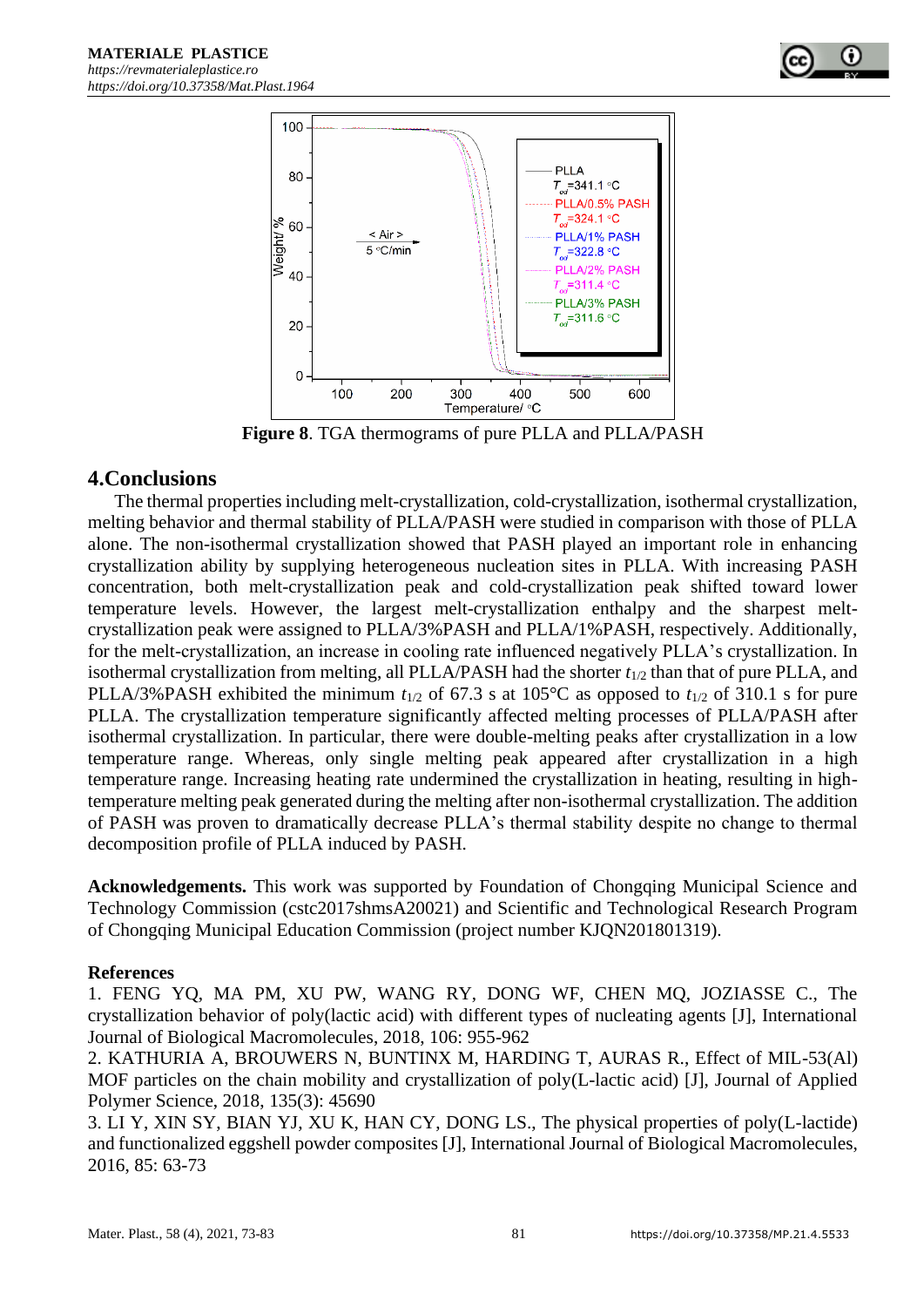

**Figure 8**. TGA thermograms of pure PLLA and PLLA/PASH

# **4.Conclusions**

The thermal properties including melt-crystallization, cold-crystallization, isothermal crystallization, melting behavior and thermal stability of PLLA/PASH were studied in comparison with those of PLLA alone. The non-isothermal crystallization showed that PASH played an important role in enhancing crystallization ability by supplying heterogeneous nucleation sites in PLLA. With increasing PASH concentration, both melt-crystallization peak and cold-crystallization peak shifted toward lower temperature levels. However, the largest melt-crystallization enthalpy and the sharpest meltcrystallization peak were assigned to PLLA/3%PASH and PLLA/1%PASH, respectively. Additionally, for the melt-crystallization, an increase in cooling rate influenced negatively PLLA's crystallization. In isothermal crystallization from melting, all PLLA/PASH had the shorter  $t_{1/2}$  than that of pure PLLA, and PLLA/3%PASH exhibited the minimum  $t_{1/2}$  of 67.3 s at 105°C as opposed to  $t_{1/2}$  of 310.1 s for pure PLLA. The crystallization temperature significantly affected melting processes of PLLA/PASH after isothermal crystallization. In particular, there were double-melting peaks after crystallization in a low temperature range. Whereas, only single melting peak appeared after crystallization in a high temperature range. Increasing heating rate undermined the crystallization in heating, resulting in hightemperature melting peak generated during the melting after non-isothermal crystallization. The addition of PASH was proven to dramatically decrease PLLA's thermal stability despite no change to thermal decomposition profile of PLLA induced by PASH.

**Acknowledgements.** This work was supported by Foundation of Chongqing Municipal Science and Technology Commission (cstc2017shmsA20021) and Scientific and Technological Research Program of Chongqing Municipal Education Commission (project number KJQN201801319).

## **References**

1. FENG YQ, MA PM, XU PW, WANG RY, DONG WF, CHEN MQ, JOZIASSE C., The crystallization behavior of poly(lactic acid) with different types of nucleating agents [J], International Journal of Biological Macromolecules, 2018, 106: 955-962

2. KATHURIA A, BROUWERS N, BUNTINX M, HARDING T, AURAS R., Effect of MIL-53(Al) MOF particles on the chain mobility and crystallization of poly(L-lactic acid) [J], Journal of Applied Polymer Science, 2018, 135(3): 45690

3. LI Y, XIN SY, BIAN YJ, XU K, HAN CY, DONG LS., The physical properties of poly(L-lactide) and functionalized eggshell powder composites [J], International Journal of Biological Macromolecules, 2016, 85: 63-73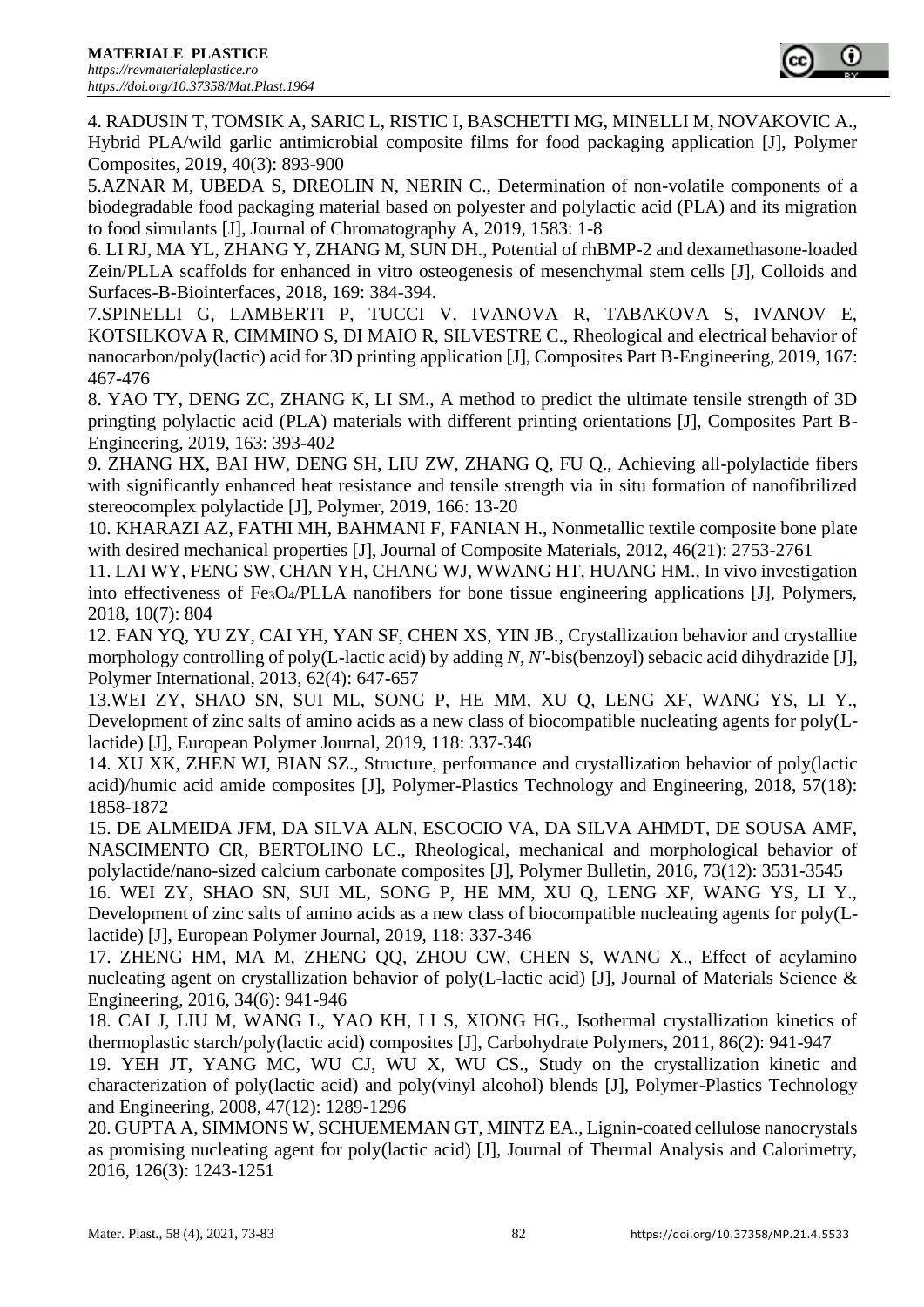

4. RADUSIN T, TOMSIK A, SARIC L, RISTIC I, BASCHETTI MG, MINELLI M, NOVAKOVIC A., Hybrid PLA/wild garlic antimicrobial composite films for food packaging application [J], Polymer Composites, 2019, 40(3): 893-900

5.AZNAR M, UBEDA S, DREOLIN N, NERIN C., Determination of non-volatile components of a biodegradable food packaging material based on polyester and polylactic acid (PLA) and its migration to food simulants [J], Journal of Chromatography A, 2019, 1583: 1-8

6. LI RJ, MA YL, ZHANG Y, ZHANG M, SUN DH., Potential of rhBMP-2 and dexamethasone-loaded Zein/PLLA scaffolds for enhanced in vitro osteogenesis of mesenchymal stem cells [J], Colloids and Surfaces-B-Biointerfaces, 2018, 169: 384-394.

7.SPINELLI G, LAMBERTI P, TUCCI V, IVANOVA R, TABAKOVA S, IVANOV E, KOTSILKOVA R, CIMMINO S, DI MAIO R, SILVESTRE C., Rheological and electrical behavior of nanocarbon/poly(lactic) acid for 3D printing application [J], Composites Part B-Engineering, 2019, 167: 467-476

8. YAO TY, DENG ZC, ZHANG K, LI SM., A method to predict the ultimate tensile strength of 3D pringting polylactic acid (PLA) materials with different printing orientations [J], Composites Part B-Engineering, 2019, 163: 393-402

9. ZHANG HX, BAI HW, DENG SH, LIU ZW, ZHANG Q, FU Q., Achieving all-polylactide fibers with significantly enhanced heat resistance and tensile strength via in situ formation of nanofibrilized stereocomplex polylactide [J], Polymer, 2019, 166: 13-20

10. KHARAZI AZ, FATHI MH, BAHMANI F, FANIAN H., Nonmetallic textile composite bone plate with desired mechanical properties [J], Journal of Composite Materials, 2012, 46(21): 2753-2761

11. LAI WY, FENG SW, CHAN YH, CHANG WJ, WWANG HT, HUANG HM., In vivo investigation into effectiveness of Fe<sub>3</sub>O<sub>4</sub>/PLLA nanofibers for bone tissue engineering applications [J], Polymers, 2018, 10(7): 804

12. FAN YQ, YU ZY, CAI YH, YAN SF, CHEN XS, YIN JB., Crystallization behavior and crystallite morphology controlling of poly(L-lactic acid) by adding *N, N'*-bis(benzoyl) sebacic acid dihydrazide [J], Polymer International, 2013, 62(4): 647-657

13.WEI ZY, SHAO SN, SUI ML, SONG P, HE MM, XU Q, LENG XF, WANG YS, LI Y., Development of zinc salts of amino acids as a new class of biocompatible nucleating agents for poly(Llactide) [J], European Polymer Journal, 2019, 118: 337-346

14. XU XK, ZHEN WJ, BIAN SZ., Structure, performance and crystallization behavior of poly(lactic acid)/humic acid amide composites [J], Polymer-Plastics Technology and Engineering, 2018, 57(18): 1858-1872

15. DE ALMEIDA JFM, DA SILVA ALN, ESCOCIO VA, DA SILVA AHMDT, DE SOUSA AMF, NASCIMENTO CR, BERTOLINO LC., Rheological, mechanical and morphological behavior of polylactide/nano-sized calcium carbonate composites [J], Polymer Bulletin, 2016, 73(12): 3531-3545

16. WEI ZY, SHAO SN, SUI ML, SONG P, HE MM, XU Q, LENG XF, WANG YS, LI Y., Development of zinc salts of amino acids as a new class of biocompatible nucleating agents for poly(Llactide) [J], European Polymer Journal, 2019, 118: 337-346

17. ZHENG HM, MA M, ZHENG QQ, ZHOU CW, CHEN S, WANG X., Effect of acylamino nucleating agent on crystallization behavior of poly(L-lactic acid) [J], Journal of Materials Science & Engineering, 2016, 34(6): 941-946

18. CAI J, LIU M, WANG L, YAO KH, LI S, XIONG HG., Isothermal crystallization kinetics of thermoplastic starch/poly(lactic acid) composites [J], Carbohydrate Polymers, 2011, 86(2): 941-947

19. YEH JT, YANG MC, WU CJ, WU X, WU CS., Study on the crystallization kinetic and characterization of poly(lactic acid) and poly(vinyl alcohol) blends [J], Polymer-Plastics Technology and Engineering, 2008, 47(12): 1289-1296

20. GUPTA A, SIMMONS W, SCHUEMEMAN GT, MINTZ EA., Lignin-coated cellulose nanocrystals as promising nucleating agent for poly(lactic acid) [J], Journal of Thermal Analysis and Calorimetry, 2016, 126(3): 1243-1251